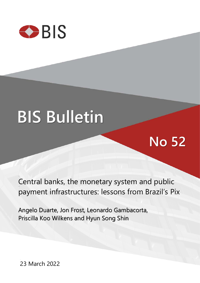

# **BIS Bulletin**

## **No 52**

Central banks, the monetary system and public payment infrastructures: lessons from Brazil's Pix

Angelo Duarte, Jon Frost, Leonardo Gambacorta, Priscilla Koo Wilkens and Hyun Song Shin

23 March 2022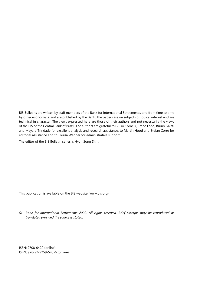BIS Bulletins are written by staff members of the Bank for International Settlements, and from time to time by other economists, and are published by the Bank. The papers are on subjects of topical interest and are technical in character. The views expressed here are those of their authors and not necessarily the views of the BIS or the Central Bank of Brazil. The authors are grateful to Giulio Cornelli, Breno Lobo, Bruno Galati and Mayara Trindade for excellent analysis and research assistance, to Martin Hood and Stefan Corre for editorial assistance and to Louisa Wagner for administrative support.

The editor of the BIS Bulletin series is Hyun Song Shin.

This publication is available on the BIS website [\(www.bis.org\)](http://www.bis.org/).

*© Bank for International Settlements 2022. All rights reserved. Brief excerpts may be reproduced or translated provided the source is stated.*

ISSN: 2708-0420 (online) ISBN: 978-92-9259-545-6 (online)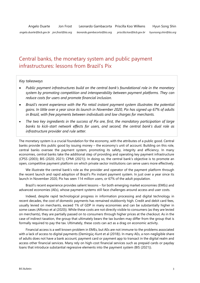### Central banks, the monetary system and public payment infrastructures: lessons from Brazil's Pix

#### *Key takeaways*

- *Public payment infrastructures build on the central bank's foundational role in the monetary system by promoting competition and interoperability between payment platforms. They can reduce costs for users and promote financial inclusion.*
- *Brazil's recent experience with the Pix retail instant payment system illustrates the potential gains. In little over a year since its launch in November 2020, Pix has signed up 67% of adults in Brazil, with free payments between individuals and low charges for merchants.*
- *The two key ingredients in the success of Pix are, first, the mandatory participation of large banks to kick-start network effects for users, and second, the central bank's dual role as infrastructure provider and rule setter.*

The monetary system is a crucial foundation for the economy, with the attributes of a public good. Central banks provide this public good by issuing money – the economy's unit of account. Building on this role, central banks oversee the payment system, promoting its safety, integrity and efficiency. In many economies, central banks take the additional step of providing and operating key payment infrastructure (CPSS (2003); BIS (2020; 2021); CPMI (2021)). In doing so, the central bank's objective is to promote an open, competitive payment platform on which private sector institutions can serve users more effectively.

We illustrate the central bank's role as the provider and operator of the payment platform through the recent launch and rapid adoption of Brazil's Pix instant payment system. In just over a year since its launch in November 2020, Pix has seen 114 million users, or 67% of the adult population.

Brazil's recent experience provides salient lessons – for both emerging market economies (EMEs) and advanced economies (AEs), whose payment systems still face challenges around access and user costs.

Indeed, despite rapid technological progress in information processing and digital technology in recent decades, the cost of domestic payments has remained stubbornly high. Credit and debit card fees, usually levied on merchants, exceed 1% of GDP in many economies and can be substantially higher in some cases (Alfonso et al (2020)). While these costs are not directly visible to consumers (as they are levied on merchants), they are partially passed on to consumers through higher prices at the checkout. As in the case of indirect taxation, the group that ultimately bears the tax burden may differ from the group that is formally required to pay the tax. Ultimately, these costs can act as a drag on economic activity.

Financial access is a well known problem in EMEs, but AEs are not immune to the problems associated with a lack of access to digital payments (Demirgüç-Kunt et al (2018)). In many AEs, a non-negligible share of adults does not have a bank account, payment card or payment app to transact in the digital realm and access other financial services. Many rely on high-cost financial services such as prepaid cards or payday loans that introduce substantial regressive elements into the payment system (BIS (2021)).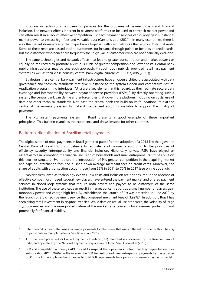Progress in technology has been no panacea for the problems of payment costs and financial inclusion. The network effects inherent in payment platforms can be used to entrench market power and can often result in a lack of effective competition. Big tech payment services can quickly gain substantial market power to extract high fees and valuable data (Carstens et al (2021)). In many economies, there is also the market dominance of the major banks together with card networks that enjoy substantial rents. Some of these rents are passed back to customers, for instance through points or benefits on credit cards, but the customers who benefit are frequently the "high-value" customers who are not financially excluded.

The same technologies and network effects that lead to greater concentration and market power can equally be redirected to promote a virtuous circle of greater competition and lower costs. Central bank public infrastructures may be one such approach, through both publicly provided retail fast payment systems as well as their close cousins, central bank digital currencies (CBDCs) (BIS (2021)).

By design, these central bank payment infrastructures have an open architecture associated with data governance and technical standards that give substance to the system's open and competitive nature. Application programming interfaces (APIs) are a key element in this regard, as they facilitate secure data exchange and interoperability between payment service providers (PSPs).<sup>[1](#page-3-0)</sup> By directly operating such a system, the central bank can define and enforce rules that govern the platform, including on costs, use of data and other technical standards. Not least, the central bank can build on its foundational role at the centre of the monetary system to make its settlement accounts available to support the finality of payments.

The Pix instant payments system in Brazil presents a good example of these important principles.<sup>[2](#page-3-1)</sup> This bulletin examines the experience and draws lessons for other countries.

#### Backdrop: digitalisation of Brazilian retail payments

The digitalisation of retail payments in Brazil gathered pace after the adoption of a 2013 law that gave the Central Bank of Brazil (BCB) competence to regulate retail payments according to the principles of efficiency, security, interoperability and financial inclusion. Historically, private PSPs have played an essential role in promoting the financial inclusion of households and small entrepreneurs. Pix has built on this two-tier structure. Even before the introduction of Pix, greater competition in the acquiring market and caps on interchange fees had pushed down average merchant fees on credit cards. Moreover, the share of adults with a transaction account rose from 56% in 2011 to 70% in 2017 (see online appendix).

Nevertheless, even as technology evolves, low costs and inclusion are not ensured in the absence of effective competition. Indeed, several new players have entered the payment market and offered payment services in closed-loop systems that require both payers and payees to be customers of the same institution. The use of these services can result in market concentration, as a small number of players gain monopoly power and charge high fees. By coincidence, the launch of Pix was preceded in June 2020 by the launch of a big tech payment service that proposed merchant fees of [3](#page-3-2).99%.<sup>3</sup> In addition, Brazil has seen rising retail investment in cryptocurrencies. While data on actual use are scarce, the volatility of large cryptocurrencies and the unregulated nature of the market raise concerns for consumer protection and potentially for financial stability.

<span id="page-3-0"></span> $1$  Interoperability means that users can make payments to other users that use a different provider, without having to participate in multiple systems. See Boar et al (2021).

<span id="page-3-1"></span><sup>&</sup>lt;sup>2</sup> A further example is India's Unified Payments Interface (UPI), launched and overseen by the Reserve Bank of India, and operated by the National Payments Corporation of India. See D'Silva et al (2019).

<span id="page-3-2"></span><sup>&</sup>lt;sup>3</sup> BCB and competition authority CADE moved to suspend these payments, noting that they depended on prior authorisation (BCB (2020)). In the interim, the BCB has authorised person-to-person payments by the provider on Pix. The firm is implementing changes to fulfil BCB requirements for a person-to-business payments model.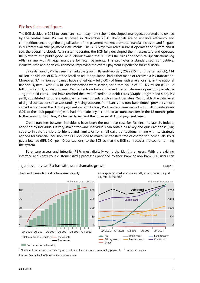#### Pix: key facts and figures

The BCB decided in 2018 to launch an instant payment scheme developed, managed, operated and owned by the central bank. Pix was launched in November 2020. The goals are to enhance efficiency and competition, encourage the digitalisation of the payment market, promote financial inclusion and fill gaps in currently available payment instruments. The BCB plays two roles in Pix: it operates the system and it sets the overall rulebook. As a system operator, the BCB fully developed the infrastructure and operates the platform as a public good. As rulebook owner, the BCB sets the rules and technical specifications (eg APIs) in line with its legal mandate for retail payments. This promotes a standardised, competitive, inclusive, safe and open environment, improving the overall payment experience for end-users.

Since its launch, Pix has seen remarkable growth. By end-February 2022 (15 months after launch), 114 million individuals, or 67% of the Brazilian adult population, had either made or received a Pix transaction. Moreover, 9.1 million companies have signed up – fully 60% of firms with a relationship in the national financial system. Over 12.4 billion transactions were settled, for a total value of BRL 6.7 trillion (USD 1.2 trillion) (Graph 1, left-hand panel). Pix transactions have surpassed many instruments previously available – eg pre-paid cards – and have reached the level of credit and debit cards (Graph 1, right-hand side). Pix partly substituted for other digital payment instruments, such as bank transfers. Yet notably, the total level of digital transactions rose substantially. Using accounts from banks and non-bank fintech providers, more individuals entered the digital payment system. Indeed, Pix transfers were made by 50 million individuals (30% of the adult population) who had not made any account-to-account transfers in the 12 months prior to the launch of Pix. Thus, Pix helped to expand the universe of digital payment users.

Credit transfers between individuals have been the main use case for Pix since its launch. Indeed, adoption by individuals is very straightforward. Individuals can obtain a Pix key and quick response (QR) code to initiate transfers to friends and family, or for small daily transactions. In line with its strategic agenda for financial inclusion, the BCB decided to make Pix transfers free of charge for individuals. PSPs pay a low fee (BRL 0.01 per 10 transactions) to the BCB so that the BCB can recover the cost of running the system.

To ensure access and integrity, PSPs must digitally verify the identity of users. With the existing interface and know-your-customer (KYC) processes provided by their bank or non-bank PSP, users can



Sources: Central Bank of Brazil; authors' calculations.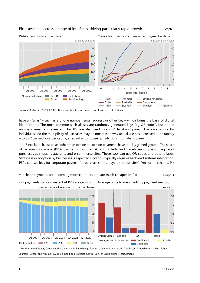

#### Pix is available across a range of interfaces, driving particularly rapid growth Graph 2

have an "alias" – such as a phone number, email address or other key – which forms the basis of digital identification. The most common such aliases are randomly generated keys (eg QR codes), but phone numbers, email addresses and tax IDs are also used (Graph 2, left-hand panel). The ease of use for individuals and the multiplicity of use cases may be one reason why actual use has increased quite rapidly – to 33.2 transactions per capita, a record among peer jurisdictions (right-hand panel).

Since launch, use cases other than person-to-person payments have quickly gained ground. The share of person-to-business (P2B) payments has risen (Graph 3, left-hand panel), encompassing eg retail purchases at shops, restaurants and e-commerce sites. These, too, can use QR codes and other aliases. Stickiness in adoption by businesses is expected since this typically requires back-end systems integration. PSPs can set fees for corporate payees (for purchases) and payers (for transfers). Yet for merchants, Pix



Sources: Hayashi and Nimmo (2021); BIS Red Book statistics; Central Bank of Brazil; authors' calculations.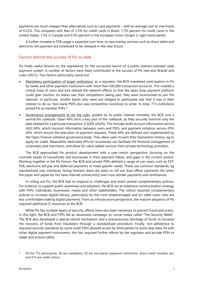payments are much cheaper than alternatives such as card payments – with an average cost to merchants of 0.22%. This compares with fees of 2.2% for credit cards in Brazil, 1.7% percent for credit cards in the United States, 1.5% in Canada and 0.3% percent in the European Union (Graph 2, right-hand panel).

A further increase in P2B usage is expected over time, as new overlay services such as direct debit and electronic bill payment are scheduled to be released in the near future.

#### Factors behind the success of Pix to date

Pix holds useful lessons on the ingredients for the successful launch of a public interest-oriented retail payment system. A number of factors have likely contributed to the success of Pix (see also Brandt and Lobo (2021)). Two factors particularly stand out:

- Mandatory participation of larger institutions: as a regulator, the BCB mandated participation in Pix by banks and other payment institutions with more than 500,000 transaction accounts. This created a critical mass of users and kick-started the network effects so that the open-loop payment platform could gain traction. As banks saw their competitors taking part, they were incentivised to join the network. In particular, smaller banks who were not obliged to participate saw that it was in their interest to do so. Non-bank PSPs also saw competitive incentives to enter. In total, 773 institutions joined Pix as member PSPs. [4](#page-6-0)
- Governance arrangements to set the rules: guided by its public interest mandate, the BCB runs a central Pix rulebook. Open APIs form a key part of the rulebook, as they securely transmit only the data needed for a particular transaction (CGIDE (2020)). This includes both account information service (AIS) APIs, which transmit information between users and PSPs, and payment initiation service (PIS) APIs, which ensure the execution of payment requests. These APIs are defined and implemented by the Open Finance initiative governance body. They allow users to port their transaction history, eg to apply for credit. Meanwhile, dedicated APIs for businesses can facilitate the financial management of corporates and merchants, and allow for value added services from private technology providers.

The BCB approached Pix product development with a user-centric perspective, focusing on the concrete needs of households and businesses in their payment habits, and gaps in the current system. Working together in the Pix Forum, the BCB and private PSPs defined a range of use cases, such as P2P, P2B, electronic bill pay and deferred payments to meet specific needs. These use common standards, eg standardised user interfaces. Going forward, there are plans to roll out dual offline payments (for when the payer and payee do not have internet connectivity) and cross-border payments and remittances.

In rolling out Pix, the BCB had to respond to challenges and enact several complementary policies. For instance, to support public awareness and adoption, the BCB ran an extensive communication strategy with PSPs, individuals, businesses, media and other stakeholders. The rollout required complementary policies to increase digital literacy, particularly for the most disadvantaged and for older users, who are less comfortable making digital payments. From an infrastructure perspective, the massive adoption of Pix required additional IT resources at the BCB.

While Pix has multiple layers of security, efforts have also been necessary to prevent fraud and scams. In this light, the BCB and PSPs led an awareness campaign on social media called "The Security Week". The BCB also developed a special refund mechanism and a precautionary blockage of funds to increase the recovery of funds from fraudsters through a standardised procedure. Finally, non-adherence to required security standards by some small PSPs allowed access by third parties to some alias data. As with other digital payment instruments, this has required further efforts by the regulator and private PSPs to adapt and ensure safety.

<span id="page-6-0"></span><sup>4</sup> Of the 773 participants, 36 are mandatory, 93 are non-banks (payment institutions, direct credit societies etc) and 615 are credit unions.